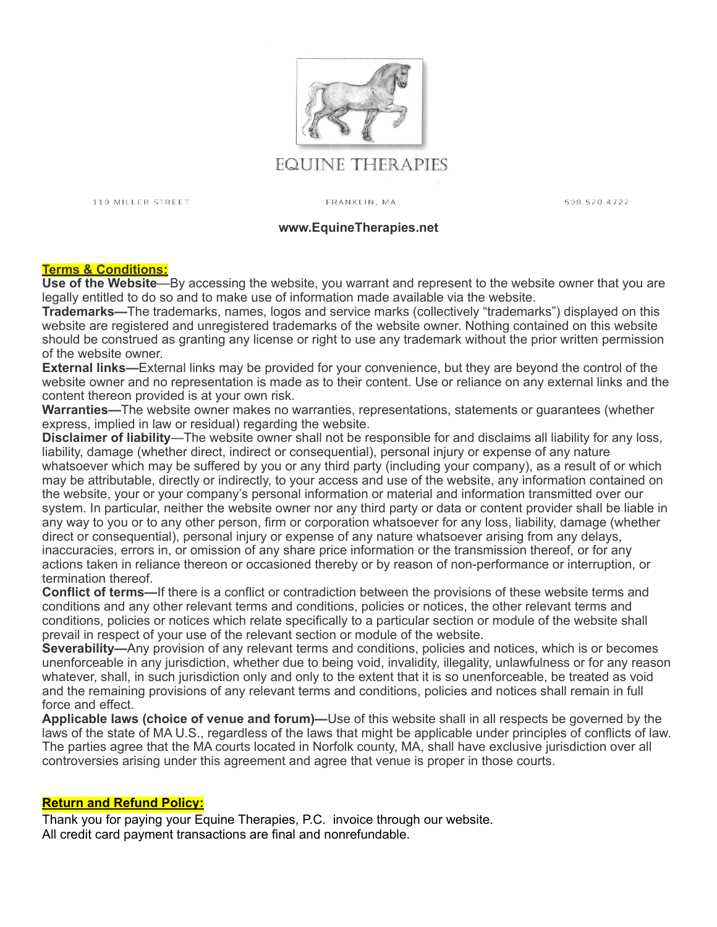

# EQUINE THERAPIES

110 MILLER STREET

FRANKLIN, MA

508.520.4722

#### **www.EquineTherapies.net**

### **Terms & Conditions:**

**Use of the Website**—By accessing the website, you warrant and represent to the website owner that you are legally entitled to do so and to make use of information made available via the website.

**Trademarks—**The trademarks, names, logos and service marks (collectively "trademarks") displayed on this website are registered and unregistered trademarks of the website owner. Nothing contained on this website should be construed as granting any license or right to use any trademark without the prior written permission of the website owner.

**External links—**External links may be provided for your convenience, but they are beyond the control of the website owner and no representation is made as to their content. Use or reliance on any external links and the content thereon provided is at your own risk.

**Warranties—**The website owner makes no warranties, representations, statements or guarantees (whether express, implied in law or residual) regarding the website.

**Disclaimer of liability**—The website owner shall not be responsible for and disclaims all liability for any loss, liability, damage (whether direct, indirect or consequential), personal injury or expense of any nature whatsoever which may be suffered by you or any third party (including your company), as a result of or which may be attributable, directly or indirectly, to your access and use of the website, any information contained on the website, your or your company's personal information or material and information transmitted over our system. In particular, neither the website owner nor any third party or data or content provider shall be liable in any way to you or to any other person, firm or corporation whatsoever for any loss, liability, damage (whether direct or consequential), personal injury or expense of any nature whatsoever arising from any delays, inaccuracies, errors in, or omission of any share price information or the transmission thereof, or for any actions taken in reliance thereon or occasioned thereby or by reason of non-performance or interruption, or termination thereof.

**Conflict of terms—**If there is a conflict or contradiction between the provisions of these website terms and conditions and any other relevant terms and conditions, policies or notices, the other relevant terms and conditions, policies or notices which relate specifically to a particular section or module of the website shall prevail in respect of your use of the relevant section or module of the website.

**Severability—**Any provision of any relevant terms and conditions, policies and notices, which is or becomes unenforceable in any jurisdiction, whether due to being void, invalidity, illegality, unlawfulness or for any reason whatever, shall, in such jurisdiction only and only to the extent that it is so unenforceable, be treated as void and the remaining provisions of any relevant terms and conditions, policies and notices shall remain in full force and effect.

**Applicable laws (choice of venue and forum)—**Use of this website shall in all respects be governed by the laws of the state of MA U.S., regardless of the laws that might be applicable under principles of conflicts of law. The parties agree that the MA courts located in Norfolk county, MA, shall have exclusive jurisdiction over all controversies arising under this agreement and agree that venue is proper in those courts.

### **Return and Refund Policy:**

Thank you for paying your Equine Therapies, P.C. invoice through our website. All credit card payment transactions are final and nonrefundable.